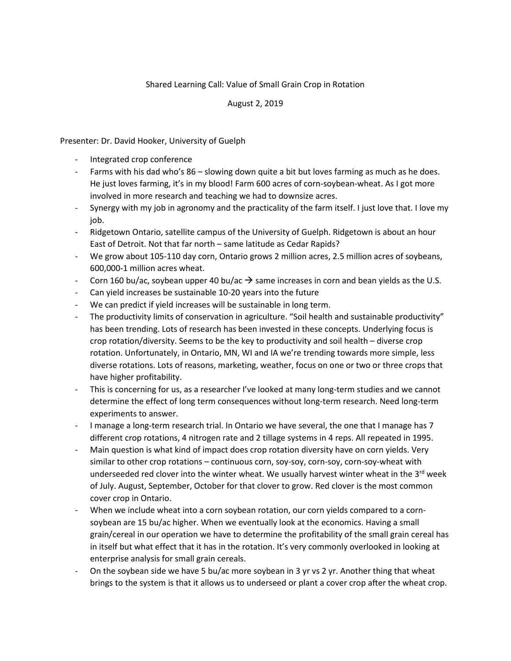## Shared Learning Call: Value of Small Grain Crop in Rotation

## August 2, 2019

Presenter: Dr. David Hooker, University of Guelph

- Integrated crop conference
- Farms with his dad who's 86 slowing down quite a bit but loves farming as much as he does. He just loves farming, it's in my blood! Farm 600 acres of corn-soybean-wheat. As I got more involved in more research and teaching we had to downsize acres.
- Synergy with my job in agronomy and the practicality of the farm itself. I just love that. I love my job.
- Ridgetown Ontario, satellite campus of the University of Guelph. Ridgetown is about an hour East of Detroit. Not that far north – same latitude as Cedar Rapids?
- We grow about 105-110 day corn, Ontario grows 2 million acres, 2.5 million acres of soybeans, 600,000-1 million acres wheat.
- Corn 160 bu/ac, soybean upper 40 bu/ac  $\rightarrow$  same increases in corn and bean yields as the U.S.
- Can yield increases be sustainable 10-20 years into the future
- We can predict if yield increases will be sustainable in long term.
- The productivity limits of conservation in agriculture. "Soil health and sustainable productivity" has been trending. Lots of research has been invested in these concepts. Underlying focus is crop rotation/diversity. Seems to be the key to productivity and soil health – diverse crop rotation. Unfortunately, in Ontario, MN, WI and IA we're trending towards more simple, less diverse rotations. Lots of reasons, marketing, weather, focus on one or two or three crops that have higher profitability.
- This is concerning for us, as a researcher I've looked at many long-term studies and we cannot determine the effect of long term consequences without long-term research. Need long-term experiments to answer.
- I manage a long-term research trial. In Ontario we have several, the one that I manage has 7 different crop rotations, 4 nitrogen rate and 2 tillage systems in 4 reps. All repeated in 1995.
- Main question is what kind of impact does crop rotation diversity have on corn yields. Very similar to other crop rotations – continuous corn, soy-soy, corn-soy, corn-soy-wheat with underseeded red clover into the winter wheat. We usually harvest winter wheat in the  $3^{rd}$  week of July. August, September, October for that clover to grow. Red clover is the most common cover crop in Ontario.
- When we include wheat into a corn soybean rotation, our corn yields compared to a cornsoybean are 15 bu/ac higher. When we eventually look at the economics. Having a small grain/cereal in our operation we have to determine the profitability of the small grain cereal has in itself but what effect that it has in the rotation. It's very commonly overlooked in looking at enterprise analysis for small grain cereals.
- On the soybean side we have 5 bu/ac more soybean in 3 yr vs 2 yr. Another thing that wheat brings to the system is that it allows us to underseed or plant a cover crop after the wheat crop.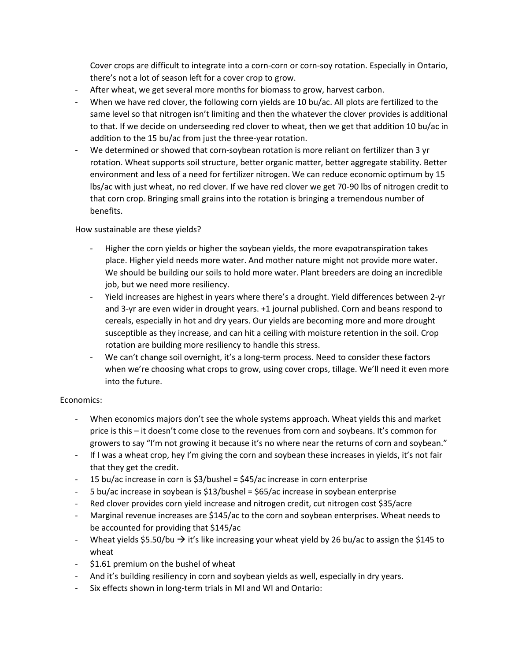Cover crops are difficult to integrate into a corn-corn or corn-soy rotation. Especially in Ontario, there's not a lot of season left for a cover crop to grow.

- After wheat, we get several more months for biomass to grow, harvest carbon.
- When we have red clover, the following corn yields are 10 bu/ac. All plots are fertilized to the same level so that nitrogen isn't limiting and then the whatever the clover provides is additional to that. If we decide on underseeding red clover to wheat, then we get that addition 10 bu/ac in addition to the 15 bu/ac from just the three-year rotation.
- We determined or showed that corn-soybean rotation is more reliant on fertilizer than 3 yr rotation. Wheat supports soil structure, better organic matter, better aggregate stability. Better environment and less of a need for fertilizer nitrogen. We can reduce economic optimum by 15 lbs/ac with just wheat, no red clover. If we have red clover we get 70-90 lbs of nitrogen credit to that corn crop. Bringing small grains into the rotation is bringing a tremendous number of benefits.

## How sustainable are these yields?

- Higher the corn yields or higher the soybean yields, the more evapotranspiration takes place. Higher yield needs more water. And mother nature might not provide more water. We should be building our soils to hold more water. Plant breeders are doing an incredible job, but we need more resiliency.
- Yield increases are highest in years where there's a drought. Yield differences between 2-yr and 3-yr are even wider in drought years. +1 journal published. Corn and beans respond to cereals, especially in hot and dry years. Our yields are becoming more and more drought susceptible as they increase, and can hit a ceiling with moisture retention in the soil. Crop rotation are building more resiliency to handle this stress.
- We can't change soil overnight, it's a long-term process. Need to consider these factors when we're choosing what crops to grow, using cover crops, tillage. We'll need it even more into the future.

## Economics:

- When economics majors don't see the whole systems approach. Wheat yields this and market price is this – it doesn't come close to the revenues from corn and soybeans. It's common for growers to say "I'm not growing it because it's no where near the returns of corn and soybean."
- If I was a wheat crop, hey I'm giving the corn and soybean these increases in yields, it's not fair that they get the credit.
- 15 bu/ac increase in corn is \$3/bushel = \$45/ac increase in corn enterprise
- 5 bu/ac increase in soybean is \$13/bushel = \$65/ac increase in soybean enterprise
- Red clover provides corn yield increase and nitrogen credit, cut nitrogen cost \$35/acre
- Marginal revenue increases are \$145/ac to the corn and soybean enterprises. Wheat needs to be accounted for providing that \$145/ac
- Wheat yields \$5.50/bu  $\rightarrow$  it's like increasing your wheat yield by 26 bu/ac to assign the \$145 to wheat
- \$1.61 premium on the bushel of wheat
- And it's building resiliency in corn and soybean yields as well, especially in dry years.
- Six effects shown in long-term trials in MI and WI and Ontario: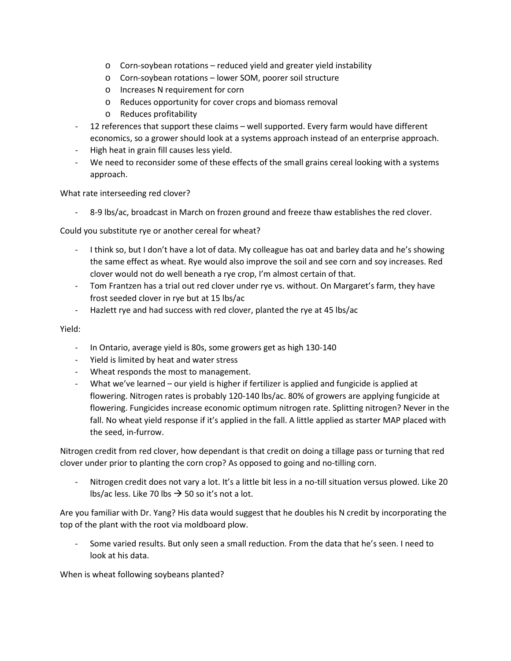- o Corn-soybean rotations reduced yield and greater yield instability
- o Corn-soybean rotations lower SOM, poorer soil structure
- o Increases N requirement for corn
- o Reduces opportunity for cover crops and biomass removal
- o Reduces profitability
- 12 references that support these claims well supported. Every farm would have different economics, so a grower should look at a systems approach instead of an enterprise approach.
- High heat in grain fill causes less yield.
- We need to reconsider some of these effects of the small grains cereal looking with a systems approach.

What rate interseeding red clover?

- 8-9 lbs/ac, broadcast in March on frozen ground and freeze thaw establishes the red clover.

Could you substitute rye or another cereal for wheat?

- I think so, but I don't have a lot of data. My colleague has oat and barley data and he's showing the same effect as wheat. Rye would also improve the soil and see corn and soy increases. Red clover would not do well beneath a rye crop, I'm almost certain of that.
- Tom Frantzen has a trial out red clover under rye vs. without. On Margaret's farm, they have frost seeded clover in rye but at 15 lbs/ac
- Hazlett rye and had success with red clover, planted the rye at 45 lbs/ac

Yield:

- In Ontario, average yield is 80s, some growers get as high 130-140
- Yield is limited by heat and water stress
- Wheat responds the most to management.
- What we've learned our yield is higher if fertilizer is applied and fungicide is applied at flowering. Nitrogen rates is probably 120-140 lbs/ac. 80% of growers are applying fungicide at flowering. Fungicides increase economic optimum nitrogen rate. Splitting nitrogen? Never in the fall. No wheat yield response if it's applied in the fall. A little applied as starter MAP placed with the seed, in-furrow.

Nitrogen credit from red clover, how dependant is that credit on doing a tillage pass or turning that red clover under prior to planting the corn crop? As opposed to going and no-tilling corn.

Nitrogen credit does not vary a lot. It's a little bit less in a no-till situation versus plowed. Like 20 lbs/ac less. Like 70 lbs  $\rightarrow$  50 so it's not a lot.

Are you familiar with Dr. Yang? His data would suggest that he doubles his N credit by incorporating the top of the plant with the root via moldboard plow.

Some varied results. But only seen a small reduction. From the data that he's seen. I need to look at his data.

When is wheat following soybeans planted?